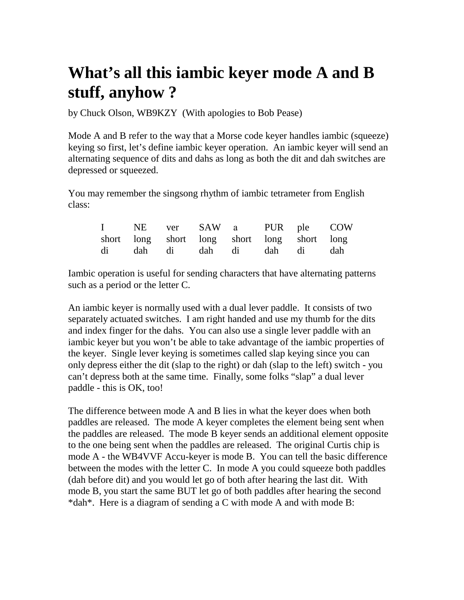## **What's all this iambic keyer mode A and B stuff, anyhow ?**

by Chuck Olson, WB9KZY (With apologies to Bob Pease)

Mode A and B refer to the way that a Morse code keyer handles iambic (squeeze) keying so first, let's define iambic keyer operation. An iambic keyer will send an alternating sequence of dits and dahs as long as both the dit and dah switches are depressed or squeezed.

You may remember the singsong rhythm of iambic tetrameter from English class:

|  |  |  | I NE ver SAW a PUR ple COW                  |  |
|--|--|--|---------------------------------------------|--|
|  |  |  | short long short long short long short long |  |
|  |  |  | di dah di dah di dah di dah                 |  |

Iambic operation is useful for sending characters that have alternating patterns such as a period or the letter C.

An iambic keyer is normally used with a dual lever paddle. It consists of two separately actuated switches. I am right handed and use my thumb for the dits and index finger for the dahs. You can also use a single lever paddle with an iambic keyer but you won't be able to take advantage of the iambic properties of the keyer. Single lever keying is sometimes called slap keying since you can only depress either the dit (slap to the right) or dah (slap to the left) switch - you can't depress both at the same time. Finally, some folks "slap" a dual lever paddle - this is OK, too!

The difference between mode A and B lies in what the keyer does when both paddles are released. The mode A keyer completes the element being sent when the paddles are released. The mode B keyer sends an additional element opposite to the one being sent when the paddles are released. The original Curtis chip is mode A - the WB4VVF Accu-keyer is mode B. You can tell the basic difference between the modes with the letter C. In mode A you could squeeze both paddles (dah before dit) and you would let go of both after hearing the last dit. With mode B, you start the same BUT let go of both paddles after hearing the second \*dah\*. Here is a diagram of sending a C with mode A and with mode B: